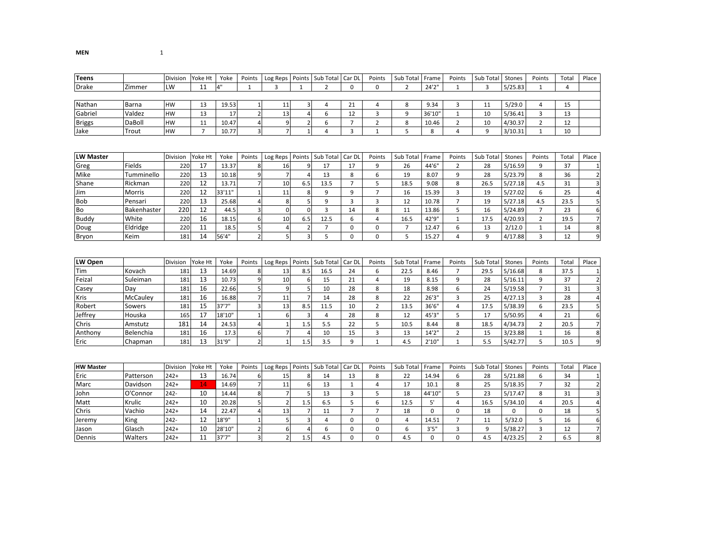| <b>Teens</b>     |               | <b>Division</b> | Yoke Ht        | Yoke   | Points                  | Log Reps       | Points           | Sub Total      | Car DI         | Points         | Sub Total      | Frame       | Points         | Sub Total | Stones      | Points         | Total | Place                   |
|------------------|---------------|-----------------|----------------|--------|-------------------------|----------------|------------------|----------------|----------------|----------------|----------------|-------------|----------------|-----------|-------------|----------------|-------|-------------------------|
| Drake            | Zimmer        | LW              | 11             | $4"$   | 1                       | 3              | 1                | $\overline{2}$ | $\Omega$       | $\mathbf 0$    | $\overline{2}$ | 24'2"       | 1              | 3         | 5/25.83     | 1              | 4     |                         |
|                  |               |                 |                |        |                         |                |                  |                |                |                |                |             |                |           |             |                |       |                         |
| Nathan           | Barna         | <b>HW</b>       | 13             | 19.53  | $\mathbf{1}$            | 11             | $\overline{3}$   | $\overline{4}$ | 21             | 4              | 8              | 9.34        | 3              | 11        | 5/29.0      | 4              | 15    |                         |
| Gabriel          | Valdez        | <b>HW</b>       | 13             | 17     | $\mathbf 2$             | 13             | $\overline{4}$   | 6              | 12             | $\overline{3}$ | 9              | 36'10'      | $\mathbf{1}$   | 10        | 5/36.41     | 3              | 13    |                         |
| <b>Briggs</b>    | DaBoll        | HW              | 11             | 10.47  | $\sqrt{4}$              | 9              | $\overline{2}$   | 6              | $\overline{7}$ | $\overline{2}$ | 8              | 10.46       | $\overline{2}$ | 10        | 4/30.37     | $\overline{2}$ | 12    |                         |
| Jake             | Trout         | HW              | $\overline{7}$ | 10.77  | 3                       | $\overline{7}$ | $\mathbf{1}$     | $\overline{4}$ | 3              | $\mathbf{1}$   | 5              | 8           | $\overline{4}$ | 9         | 3/10.31     | $\mathbf 1$    | 10    |                         |
|                  |               |                 |                |        |                         |                |                  |                |                |                |                |             |                |           |             |                |       |                         |
| <b>LW Master</b> |               | Division        | Yoke Ht        | Yoke   | Points                  | Log Reps       | Points           | Sub Total      | Car DL         | Points         | Sub Total      | Frame       | Points         | Sub Total | Stones      | Points         | Total | Place                   |
| Greg             | Fields        | 220             | 17             | 13.37  | 8                       | 16             | 9                | 17             | 17             | 9              | 26             | 44'6"       | $\overline{2}$ | 28        | 5/16.59     | 9              | 37    | $\mathbf{1}$            |
| Mike             | Tumminello    | 220             | 13             | 10.18  | 9                       | $\overline{7}$ | $\overline{A}$   | 13             | 8              | 6              | 19             | 8.07        | 9              | 28        | 5/23.79     | 8              | 36    | $\overline{2}$          |
| Shane            | Rickman       | 220             | 12             | 13.71  | $\overline{7}$          | 10             | 6.5              | 13.5           | $\overline{7}$ | 5              | 18.5           | 9.08        | 8              | 26.5      | 5/27.18     | 4.5            | 31    | $\overline{3}$          |
| Jim              | <b>Morris</b> | 220             | 12             | 33'11" |                         | 11             | 8                | 9              | 9              | $\overline{7}$ | 16             | 15.39       | 3              | 19        | 5/27.02     | 6              | 25    | $\overline{4}$          |
| Bob              | Pensari       | 220             | 13             | 25.68  | $\overline{4}$          | 8              | 5                | 9              | 3              | 3              | 12             | 10.78       | $\overline{7}$ | 19        | 5/27.18     | 4.5            | 23.5  | 5 <sup>1</sup>          |
| Bo               | Bakenhaster   | 220             | 12             | 44.5   | 3                       | $\mathbf 0$    | $\Omega$         | $\overline{3}$ | 14             | 8              | 11             | 13.86       | 5              | 16        | 5/24.89     | $\overline{7}$ | 23    | 6                       |
| Buddy            | White         | 220             | 16             | 18.15  | 6                       | 10             | 6.5              | 12.5           | 6              | 4              | 16.5           | 42'9"       | $\mathbf{1}$   | 17.5      | 4/20.93     | $\overline{2}$ | 19.5  | $\overline{7}$          |
| Doug             | Eldridge      | 220             | 11             | 18.5   | 5                       | 4              | $\overline{2}$   | $\overline{7}$ | $\Omega$       | $\mathbf 0$    | $\overline{7}$ | 12.47       | 6              | 13        | 2/12.0      | $\mathbf{1}$   | 14    | 8                       |
| Bryon            | Keim          | 181             | 14             | 56'4"  | $\mathbf 2$             | 5              | $\overline{3}$   | 5              | $\Omega$       | $\mathbf 0$    | 5              | 15.27       | $\overline{4}$ | 9         | 4/17.88     | 3              | 12    | $9\,$                   |
| LW Open          |               | Division        | Yoke Ht        | Yoke   | Points                  | Log Reps       | Points           | Sub Total      | Car DI         | Points         | Sub Total      | Frame       | Points         | Sub Total | Stones      | Points         | Total | Place                   |
| Tim              | Kovach        | 181             | 13             | 14.69  | 8                       | 13             | 8.5              | 16.5           | 24             | 6              | 22.5           | 8.46        | $\overline{7}$ | 29.5      | 5/16.68     | 8              | 37.5  | $\mathbf{1}$            |
| Feizal           | Suleiman      | 181             | 13             | 10.73  | 9                       | 10             | 6                | 15             | 21             | $\overline{4}$ | 19             | 8.15        | 9              | 28        | 5/16.11     | 9              | 37    | $\overline{2}$          |
| Casey            | Day           | 181             | 16             | 22.66  | 5                       | 9              | 5                | 10             | 28             | 8              | 18             | 8.98        | 6              | 24        | 5/19.58     | $\overline{7}$ | 31    | $\overline{3}$          |
| Kris             | McCauley      | 181             | 16             | 16.88  | $\overline{7}$          | 11             | $\overline{7}$   | 14             | 28             | 8              | 22             | 26'3"       | 3              | 25        | 4/27.13     | 3              | 28    | $\overline{4}$          |
| Robert           | Sowers        | 181             | 15             | 37'7"  | 3                       | 13             | 8.5              | 11.5           | 10             | $\overline{2}$ | 13.5           | 36'6"       | 4              | 17.5      | 5/38.39     | 6              | 23.5  | 5                       |
| Jeffrey          | Houska        | 165             | 17             | 18'10" | $\mathbf{1}$            | 6              | 3                | $\overline{4}$ | 28             | 8              | 12             | 45'3"       | 5              | 17        | 5/50.95     | $\overline{4}$ | 21    | 6                       |
| Chris            | Amstutz       | 181             | 14             | 24.53  | $\overline{A}$          |                | 1.5              | 5.5            | 22             | 5              | 10.5           | 8.44        | 8              | 18.5      | 4/34.73     | $\overline{2}$ | 20.5  | $\overline{7}$          |
| Anthony          | Belenchia     | 181             | 16             | 17.3   | 6                       | $\overline{7}$ | 4                | 10             | 15             | 3              | 13             | 14'2"       | $\overline{2}$ | 15        | 3/23.88     | $\mathbf{1}$   | 16    | 8                       |
| Eric             | Chapman       | 181             | 13             | 31'9"  | $\overline{2}$          | $\mathbf 1$    | 1.5              | 3.5            | 9              | $\mathbf{1}$   | 4.5            | 2'10"       | $\mathbf 1$    | 5.5       | 5/42.77     | 5              | 10.5  | 9                       |
|                  |               |                 |                |        |                         |                |                  |                |                |                |                |             |                |           |             |                |       |                         |
| <b>HW Master</b> |               | Division        | Yoke Ht        | Yoke   | Points                  | Log Reps       | Points           | Sub Total      | Car DL         | Points         | Sub Total      | Frame       | Points         | Sub Total | Stones      | Points         | Total | Place                   |
| Eric             | Patterson     | $242+$          | 13             | 16.74  | 6                       | 15             | 8                | 14             | 13             | 8              | 22             | 14.94       | 6              | 28        | 5/21.88     | 6              | 34    | $\mathbf{1}$            |
| Marc             | Davidson      | $242+$          | 14             | 14.69  | 7                       | 11             | $\boldsymbol{6}$ | 13             | $\mathbf{1}$   | 4              | 17             | 10.1        | 8              | 25        | 5/18.35     | $\overline{7}$ | 32    | $\overline{2}$          |
| John             | O'Connor      | $242 -$         | 10             | 14.44  | 8                       |                | 5                | 13             | 3              | 5              | 18             | 44'10'      | 5              | 23        | 5/17.47     | 8              | 31    | $\overline{\mathbf{3}}$ |
| Matt             | Krulic        | $242+$          | 10             | 20.28  | 5                       | $\overline{2}$ | 1.5              | 6.5            | 5              | 6              | 12.5           | 5'          | 4              | 16.5      | 5/34.10     | $\overline{4}$ | 20.5  | $\overline{4}$          |
| Chris            | Vachio        | $242+$          | 14             | 22.47  | $\overline{4}$          | 13             | 7                | 11             | $\overline{7}$ | $\overline{7}$ | 18             | $\Omega$    | $\pmb{0}$      | 18        | $\mathbf 0$ | $\mathbf 0$    | 18    | 5 <sup>1</sup>          |
| Jeremy           | King          | 242-            | 12             | 18'9"  | $\mathbf{1}$            | 5              | 3                | $\overline{4}$ | $\mathbf 0$    | $\mathbf 0$    | $\overline{4}$ | 14.51       | $\overline{7}$ | 11        | 5/32.0      | 5              | 16    | 6                       |
| Jason            | Glasch        | $242+$          | 10             | 28'10" | $\overline{2}$          | 6              | 4                | 6              | $\mathbf 0$    | $\mathbf 0$    | 6              | 3'5''       | 3              | 9         | 5/38.27     | 3              | 12    | $\overline{7}$          |
| Dennis           | Walters       | $242+$          | 11             | 37'7"  | $\overline{\mathbf{3}}$ | $\overline{2}$ | 1.5              | 4.5            | $\Omega$       | $\mathbf 0$    | 4.5            | $\mathbf 0$ | $\mathbf 0$    | 4.5       | 4/23.25     | $\overline{2}$ | 6.5   | 8                       |

MEN

<sup>1</sup>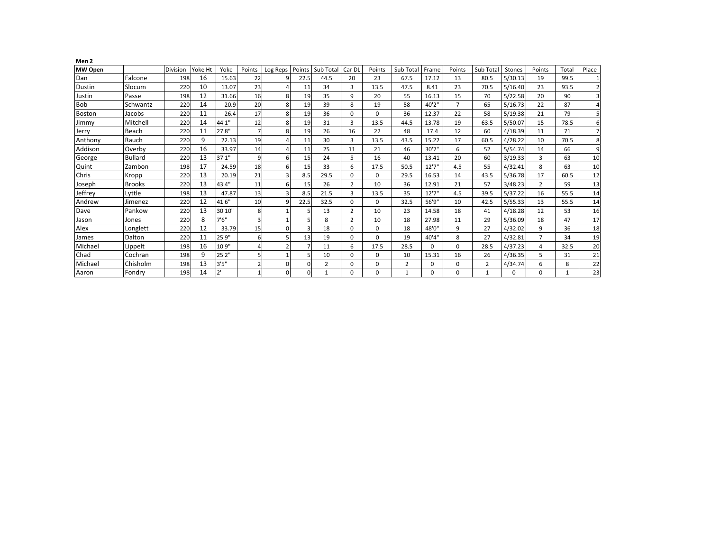| Men 2          |                |          |         |        |                |                |                |                |                |          |                |              |                |                |               |                |      |                |
|----------------|----------------|----------|---------|--------|----------------|----------------|----------------|----------------|----------------|----------|----------------|--------------|----------------|----------------|---------------|----------------|------|----------------|
| <b>MW Open</b> |                | Division | Yoke Ht | Yoke   | Points         | Log Reps       | Points         | Sub Total      | Car DI         | Points   | Sub Total      | Frame        | Points         | Sub Total      | <b>Stones</b> | Points         | Tota | Place          |
| Dan            | Falcone        | 198      | 16      | 15.63  | 22             | 9              | 22.5           | 44.5           | 20             | 23       | 67.5           | 17.12        | 13             | 80.5           | 5/30.13       | 19             | 99.5 |                |
| <b>Dustin</b>  | Slocum         | 220      | 10      | 13.07  | 23             |                | 11             | 34             | 3              | 13.5     | 47.5           | 8.41         | 23             | 70.5           | 5/16.40       | 23             | 93.5 | $\overline{2}$ |
| Justin         | Passe          | 198      | 12      | 31.66  | 16             | 8 <sup>1</sup> | 19             | 35             | 9              | 20       | 55             | 16.13        | 15             | 70             | 5/22.58       | 20             | 90   | $\overline{3}$ |
| <b>Bob</b>     | Schwantz       | 220      | 14      | 20.9   | 20             | 8 <sup>1</sup> | 19             | 39             | 8              | 19       | 58             | 40'2"        | $\overline{7}$ | 65             | 5/16.73       | 22             | 87   | 4              |
| <b>Boston</b>  | Jacobs         | 220      | 11      | 26.4   | 17             | 8 <sup>1</sup> | 19             | 36             | $\Omega$       | $\Omega$ | 36             | 12.37        | 22             | 58             | 5/19.38       | 21             | 79   | 5              |
| Jimmy          | Mitchell       | 220      | 14      | 44'1"  | 12             | 8              | 19             | 31             | 3              | 13.5     | 44.5           | 13.78        | 19             | 63.5           | 5/50.07       | 15             | 78.5 | 6              |
| Jerry          | Beach          | 220      | 11      | 27'8"  |                | 8 <sup>1</sup> | 19             | 26             | 16             | 22       | 48             | 17.4         | 12             | 60             | 4/18.39       | 11             | 71   | $\overline{7}$ |
| Anthony        | Rauch          | 220      | 9       | 22.13  | 19             |                | 11             | 30             | 3              | 13.5     | 43.5           | 15.22        | 17             | 60.5           | 4/28.22       | 10             | 70.5 | 8              |
| Addison        | Overby         | 220      | 16      | 33.97  | 14             |                | 11             | 25             | 11             | 21       | 46             | 30'7"        | 6              | 52             | 5/54.74       | 14             | 66   | 9              |
| George         | <b>Bullard</b> | 220      | 13      | 37'1'' | 9 <sup>1</sup> | 6              | 15             | 24             | 5              | 16       | 40             | 13.41        | 20             | 60             | 3/19.33       | 3              | 63   | 10             |
| Quint          | Zambon         | 198      | 17      | 24.59  | 18             | 61             | 15             | 33             | 6              | 17.5     | 50.5           | 12'7"        | 4.5            | 55             | 4/32.41       | 8              | 63   | 10             |
| Chris          | Kropp          | 220      | 13      | 20.19  | 21             |                | 8.5            | 29.5           | 0              | $\Omega$ | 29.5           | 16.53        | 14             | 43.5           | 5/36.78       | 17             | 60.5 | 12             |
| Joseph         | <b>Brooks</b>  | 220      | 13      | 43'4"  | 11             | $6 \mid$       | 15             | 26             | $\overline{2}$ | 10       | 36             | 12.91        | 21             | 57             | 3/48.23       | $\overline{2}$ | 59   | 13             |
| Jeffrey        | Lyttle         | 198      | 13      | 47.87  | 13             | $\overline{3}$ | 8.5            | 21.5           | 3              | 13.5     | 35             | 12'7"        | 4.5            | 39.5           | 5/37.22       | 16             | 55.5 | 14             |
| Andrew         | Jimenez        | 220      | 12      | 41'6"  | 10             | q              | 22.5           | 32.5           | $\Omega$       | $\Omega$ | 32.5           | 56'9"        | 10             | 42.5           | 5/55.33       | 13             | 55.5 | 14             |
| Dave           | Pankow         | 220      | 13      | 30'10" | 8              |                |                | 13             | $\overline{2}$ | 10       | 23             | 14.58        | 18             | 41             | 4/18.28       | 12             | 53   | 16             |
| Jason          | Jones          | 220      | 8       | 7'6''  | $\overline{3}$ |                |                | 8              | $\overline{2}$ | 10       | 18             | 27.98        | 11             | 29             | 5/36.09       | 18             | 47   | 17             |
| Alex           | Longlett       | 220      | 12      | 33.79  | 15             | $\Omega$       | 3              | 18             | $\Omega$       | 0        | 18             | 48'0"        | 9              | 27             | 4/32.02       | 9              | 36   | 18             |
| James          | Dalton         | 22C      | 11      | 25'9"  | $6 \mid$       | 51             | 13             | 19             | 0              | 0        | 19             | 40'4"        | 8              | 27             | 4/32.81       | $\overline{7}$ | 34   | 19             |
| Michael        | Lippelt        | 198      | 16      | 10'9"  | $\overline{4}$ | 2              |                | 11             | 6              | 17.5     | 28.5           | 0            | $\Omega$       | 28.5           | 4/37.23       | 4              | 32.5 | 20             |
| Chad           | Cochran        | 198      | 9       | 25'2"  | 5 <sup>1</sup> |                | 5 <sub>1</sub> | 10             | $\Omega$       | $\Omega$ | 10             | 15.31        | 16             | 26             | 4/36.35       | 5              | 31   | 21             |
| Michael        | Chisholm       | 198      | 13      | 3'5''  |                | $\Omega$       | $\Omega$       | $\overline{2}$ | $\Omega$       | 0        | $\overline{2}$ | $\Omega$     | $\mathbf 0$    | $\overline{2}$ | 4/34.74       | 6              | 8    | 22             |
| Aaron          | Fondry         | 198      | 14      | 2'     |                | $\Omega$       | $\Omega$       |                | 0              | 0        |                | <sup>n</sup> | $\mathbf 0$    |                | $\Omega$      | $\mathbf 0$    |      | 23             |